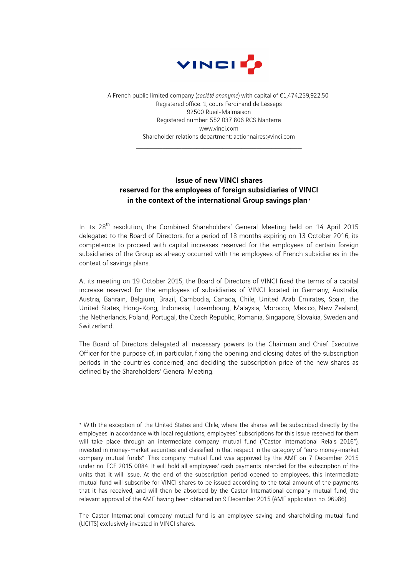

A French public limited company (*société anonyme*) with capital of €1,474,259,922.50 Registered office: 1, cours Ferdinand de Lesseps 92500 Rueil-Malmaison Registered number: 552 037 806 RCS Nanterre www.vinci.com Shareholder relations department: actionnaires@vinci.com

 $\mathcal{L}_\text{max} = \mathcal{L}_\text{max} = \mathcal{L}_\text{max} = \mathcal{L}_\text{max} = \mathcal{L}_\text{max} = \mathcal{L}_\text{max} = \mathcal{L}_\text{max}$ 

## Issue of new VINCI shares reserved for the employees of foreign subsidiaries of VINCI in the context of the international Group savings plan  $\cdot$

In its 28<sup>th</sup> resolution, the Combined Shareholders' General Meeting held on 14 April 2015 delegated to the Board of Directors, for a period of 18 months expiring on 13 October 2016, its competence to proceed with capital increases reserved for the employees of certain foreign subsidiaries of the Group as already occurred with the employees of French subsidiaries in the context of savings plans.

At its meeting on 19 October 2015, the Board of Directors of VINCI fixed the terms of a capital increase reserved for the employees of subsidiaries of VINCI located in Germany, Australia, Austria, Bahrain, Belgium, Brazil, Cambodia, Canada, Chile, United Arab Emirates, Spain, the United States, Hong-Kong, Indonesia, Luxembourg, Malaysia, Morocco, Mexico, New Zealand, the Netherlands, Poland, Portugal, the Czech Republic, Romania, Singapore, Slovakia, Sweden and Switzerland.

The Board of Directors delegated all necessary powers to the Chairman and Chief Executive Officer for the purpose of, in particular, fixing the opening and closing dates of the subscription periods in the countries concerned, and deciding the subscription price of the new shares as defined by the Shareholders' General Meeting.

 $\overline{a}$ 

<sup>♦</sup> With the exception of the United States and Chile, where the shares will be subscribed directly by the employees in accordance with local regulations, employees' subscriptions for this issue reserved for them will take place through an intermediate company mutual fund ("Castor International Relais 2016"), invested in money-market securities and classified in that respect in the category of "euro money-market company mutual funds". This company mutual fund was approved by the AMF on 7 December 2015 under no. FCE 2015 0084. It will hold all employees' cash payments intended for the subscription of the units that it will issue. At the end of the subscription period opened to employees, this intermediate mutual fund will subscribe for VINCI shares to be issued according to the total amount of the payments that it has received, and will then be absorbed by the Castor International company mutual fund, the relevant approval of the AMF having been obtained on 9 December 2015 (AMF application no. 96986).

The Castor International company mutual fund is an employee saving and shareholding mutual fund (UCITS) exclusively invested in VINCI shares.